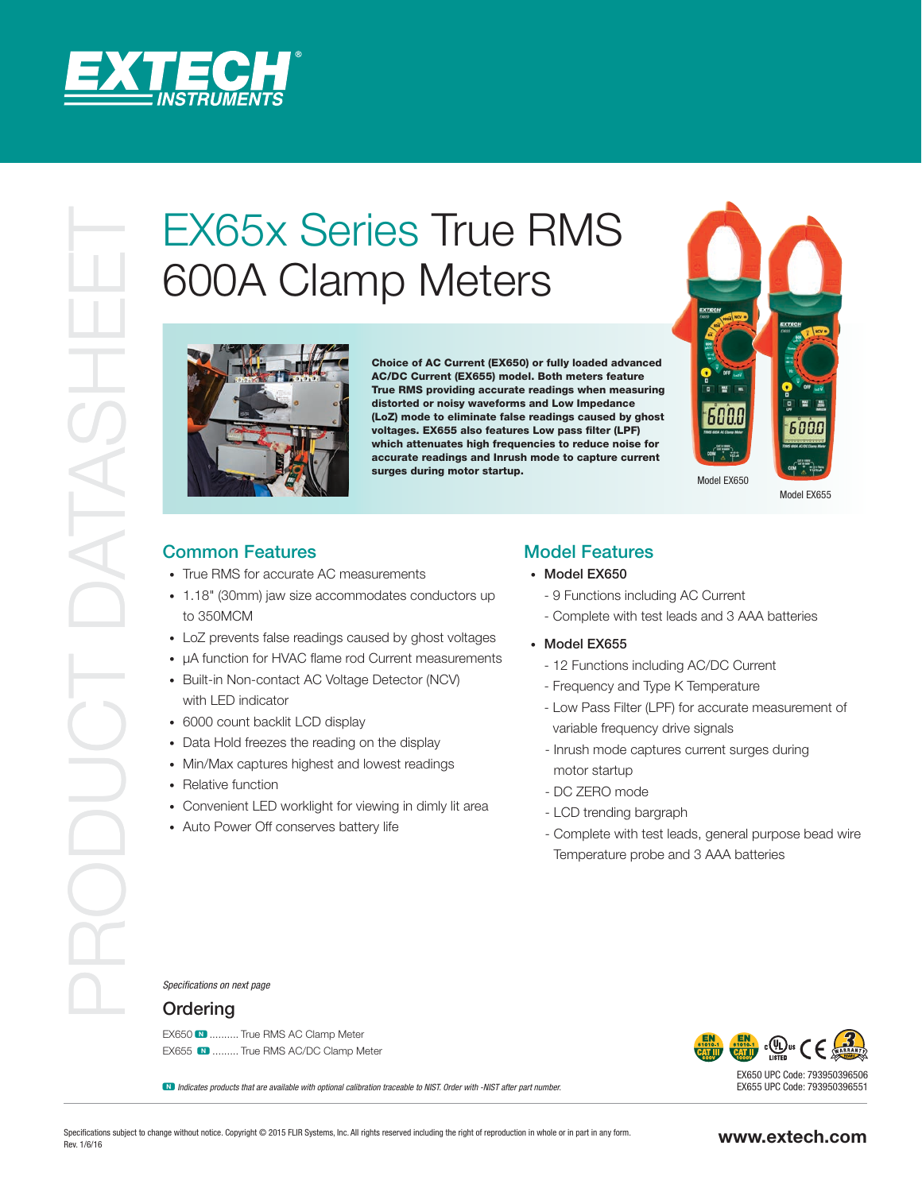

# 600A Clamp Meters



Choice of AC Current (EX650) or fully loaded advanced AC/DC Current (EX655) model. Both meters feature True RMS providing accurate readings when measuring distorted or noisy waveforms and Low Impedance (LoZ) mode to eliminate false readings caused by ghost voltages. EX655 also features Low pass filter (LPF) which attenuates high frequencies to reduce noise for accurate readings and Inrush mode to capture current surges during motor startup.



Model EX655

# Common Features

- True RMS for accurate AC measurements
- 1.18" (30mm) jaw size accommodates conductors up to 350MCM
- LoZ prevents false readings caused by ghost voltages
- µA function for HVAC flame rod Current measurements
- Built-in Non-contact AC Voltage Detector (NCV) with LED indicator
- 6000 count backlit LCD display
- Data Hold freezes the reading on the display
- Min/Max captures highest and lowest readings
- Relative function
- Convenient LED worklight for viewing in dimly lit area
- Auto Power Off conserves battery life

# Model Features

### • Model EX650

- 9 Functions including AC Current
- Complete with test leads and 3 AAA batteries
- Model EX655
	- 12 Functions including AC/DC Current
	- Frequency and Type K Temperature
	- Low Pass Filter (LPF) for accurate measurement of variable frequency drive signals
	- Inrush mode captures current surges during motor startup
	- DC ZERO mode
	- LCD trending bargraph
	- Complete with test leads, general purpose bead wire Temperature probe and 3 AAA batteries

*Specifications on next page*

## **Ordering**

EX650  $\blacksquare$  .......... True RMS AC Clamp Meter EX655 N ......... True RMS AC/DC Clamp Meter